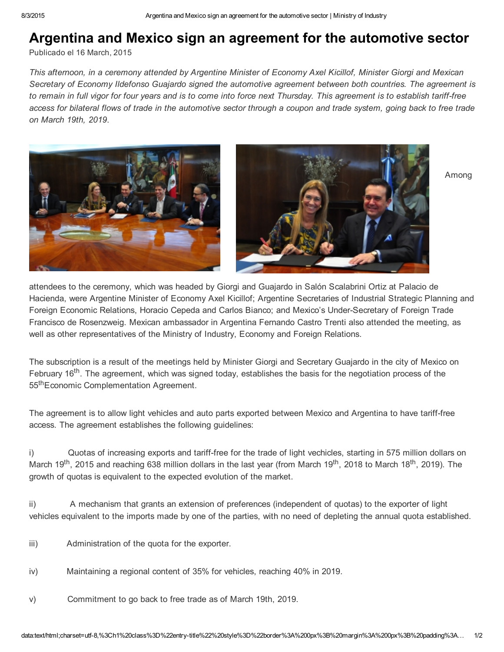## Argentina and Mexico sign an agreement for the automotive sector

Publicado el 16 [March,](http://www.industria.gob.ar/en/argentina-and-mexico-sign-an-agreement-for-the-automotive-sector/) 2015

This afternoon, in a ceremony attended by Argentine Minister of Economy Axel Kicillof, Minister Giorgi and Mexican *Secretary of Economy Ildefonso Guajardo signed the automotive agreement between both countries. The agreement is* to remain in full vigor for four years and is to come into force next Thursday. This agreement is to establish tariff-free access for bilateral flows of trade in the automotive sector through a coupon and trade system, going back to free trade *on March 19th, 2019*.



Among

attendees to the ceremony, which was headed by Giorgi and Guajardo in Salón Scalabrini Ortiz at Palacio de Hacienda, were Argentine Minister of Economy Axel Kicillof; Argentine Secretaries of Industrial Strategic Planning and Foreign Economic Relations, Horacio Cepeda and Carlos Bianco; and Mexico's Under-Secretary of Foreign Trade Francisco de Rosenzweig. Mexican ambassador in Argentina Fernando Castro Trenti also attended the meeting, as well as other representatives of the Ministry of Industry, Economy and Foreign Relations.

The subscription is a result of the meetings held by Minister Giorgi and Secretary Guajardo in the city of Mexico on February 16<sup>th</sup>. The agreement, which was signed today, establishes the basis for the negotiation process of the 55<sup>th</sup> Economic Complementation Agreement.

The agreement is to allow light vehicles and auto parts exported between Mexico and Argentina to have tarifffree access. The agreement establishes the following guidelines:

i) Quotas of increasing exports and tariff-free for the trade of light vechicles, starting in 575 million dollars on March 19<sup>th</sup>, 2015 and reaching 638 million dollars in the last year (from March 19<sup>th</sup>, 2018 to March 18<sup>th</sup>, 2019). The growth of quotas is equivalent to the expected evolution of the market.

ii) A mechanism that grants an extension of preferences (independent of quotas) to the exporter of light vehicles equivalent to the imports made by one of the parties, with no need of depleting the annual quota established.

- iii) Administration of the quota for the exporter.
- iv) Maintaining a regional content of 35% for vehicles, reaching 40% in 2019.
- v) Commitment to go back to free trade as of March 19th, 2019.